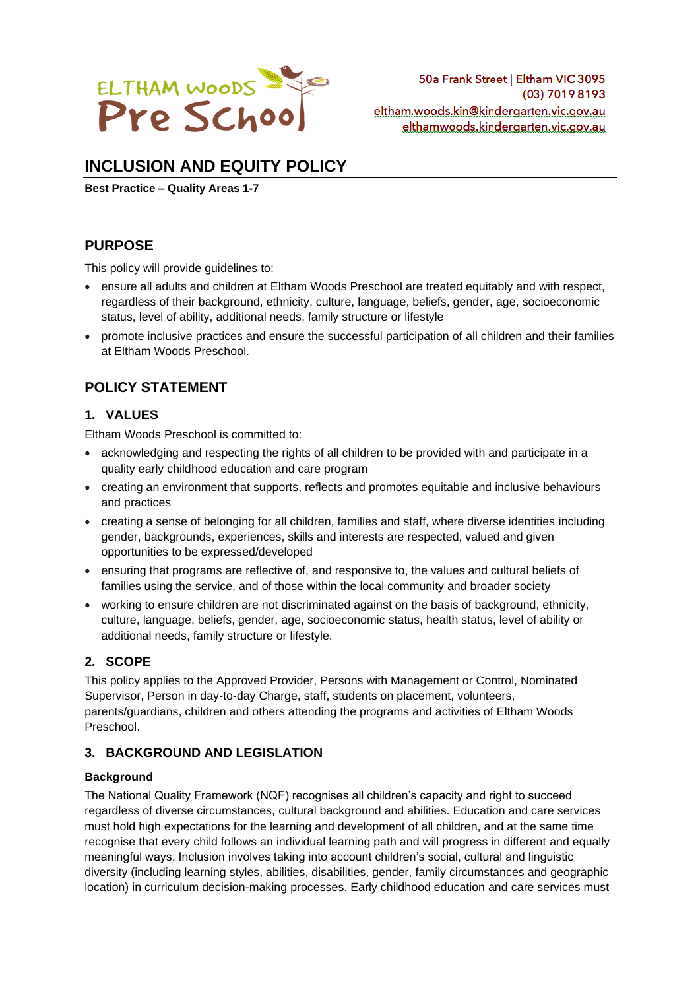

# **INCLUSION AND EQUITY POLICY**

**Best Practice – Quality Areas 1-7**

## **PURPOSE**

This policy will provide guidelines to:

- ensure all adults and children at Eltham Woods Preschool are treated equitably and with respect, regardless of their background, ethnicity, culture, language, beliefs, gender, age, socioeconomic status, level of ability, additional needs, family structure or lifestyle
- promote inclusive practices and ensure the successful participation of all children and their families at Eltham Woods Preschool.

## **POLICY STATEMENT**

## **1. VALUES**

Eltham Woods Preschool is committed to:

- acknowledging and respecting the rights of all children to be provided with and participate in a quality early childhood education and care program
- creating an environment that supports, reflects and promotes equitable and inclusive behaviours and practices
- creating a sense of belonging for all children, families and staff, where diverse identities including gender, backgrounds, experiences, skills and interests are respected, valued and given opportunities to be expressed/developed
- ensuring that programs are reflective of, and responsive to, the values and cultural beliefs of families using the service, and of those within the local community and broader society
- working to ensure children are not discriminated against on the basis of background, ethnicity, culture, language, beliefs, gender, age, socioeconomic status, health status, level of ability or additional needs, family structure or lifestyle.

## **2. SCOPE**

This policy applies to the Approved Provider, Persons with Management or Control, Nominated Supervisor, Person in day-to-day Charge, staff, students on placement, volunteers, parents/guardians, children and others attending the programs and activities of Eltham Woods Preschool.

### **3. BACKGROUND AND LEGISLATION**

#### **Background**

The National Quality Framework (NQF) recognises all children's capacity and right to succeed regardless of diverse circumstances, cultural background and abilities. Education and care services must hold high expectations for the learning and development of all children, and at the same time recognise that every child follows an individual learning path and will progress in different and equally meaningful ways. Inclusion involves taking into account children's social, cultural and linguistic diversity (including learning styles, abilities, disabilities, gender, family circumstances and geographic location) in curriculum decision-making processes. Early childhood education and care services must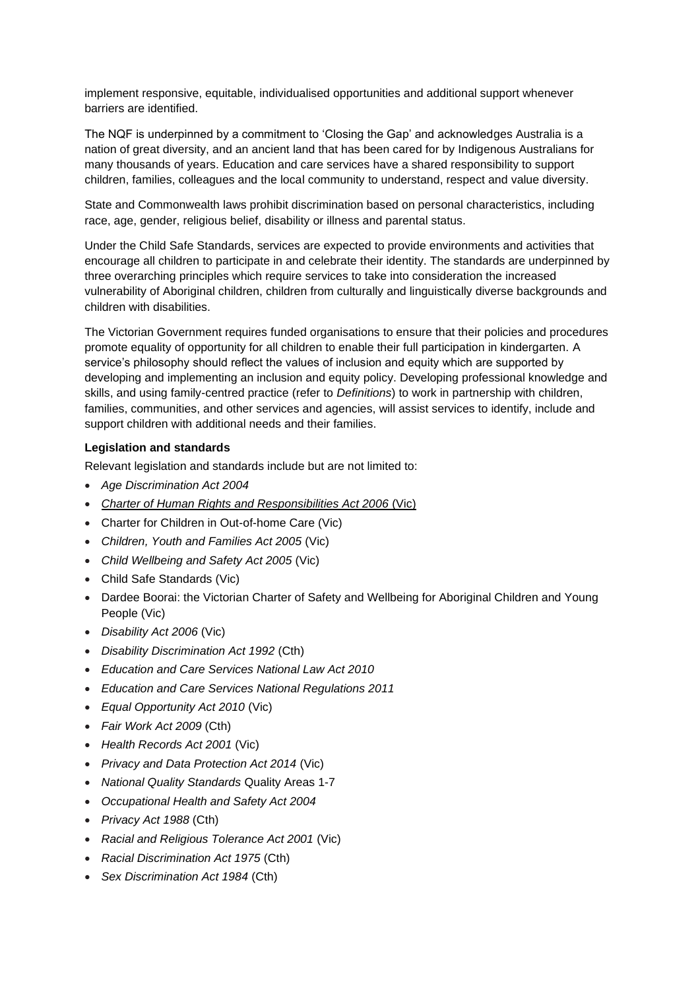implement responsive, equitable, individualised opportunities and additional support whenever barriers are identified.

The NQF is underpinned by a commitment to 'Closing the Gap' and acknowledges Australia is a nation of great diversity, and an ancient land that has been cared for by Indigenous Australians for many thousands of years. Education and care services have a shared responsibility to support children, families, colleagues and the local community to understand, respect and value diversity.

State and Commonwealth laws prohibit discrimination based on personal characteristics, including race, age, gender, religious belief, disability or illness and parental status.

Under the Child Safe Standards, services are expected to provide environments and activities that encourage all children to participate in and celebrate their identity. The standards are underpinned by three overarching principles which require services to take into consideration the increased vulnerability of Aboriginal children, children from culturally and linguistically diverse backgrounds and children with disabilities.

The Victorian Government requires funded organisations to ensure that their policies and procedures promote equality of opportunity for all children to enable their full participation in kindergarten. A service's philosophy should reflect the values of inclusion and equity which are supported by developing and implementing an inclusion and equity policy. Developing professional knowledge and skills, and using family-centred practice (refer to *Definitions*) to work in partnership with children, families, communities, and other services and agencies, will assist services to identify, include and support children with additional needs and their families.

#### **Legislation and standards**

Relevant legislation and standards include but are not limited to:

- *Age Discrimination Act 2004*
- *[Charter of Human Rights and Responsibilities Act 2006](http://www.legislation.vic.gov.au/Domino/Web_Notes/LDMS/PubStatbook.nsf/f932b66241ecf1b7ca256e92000e23be/54d73763ef9dca36ca2571b6002428b0!OpenDocument)* (Vic)
- Charter for Children in Out-of-home Care (Vic)
- *Children, Youth and Families Act 2005* (Vic)
- *Child Wellbeing and Safety Act 2005* (Vic)
- Child Safe Standards (Vic)
- Dardee Boorai: the Victorian Charter of Safety and Wellbeing for Aboriginal Children and Young People (Vic)
- *Disability Act 2006* (Vic)
- *Disability Discrimination Act 1992* (Cth)
- *Education and Care Services National Law Act 2010*
- *Education and Care Services National Regulations 2011*
- *Equal Opportunity Act 2010* (Vic)
- *Fair Work Act 2009* (Cth)
- *Health Records Act 2001* (Vic)
- *Privacy and Data Protection Act 2014* (Vic)
- *National Quality Standards* Quality Areas 1-7
- *Occupational Health and Safety Act 2004*
- *Privacy Act 1988* (Cth)
- *Racial and Religious Tolerance Act 2001* (Vic)
- *Racial Discrimination Act 1975* (Cth)
- *Sex Discrimination Act 1984* (Cth)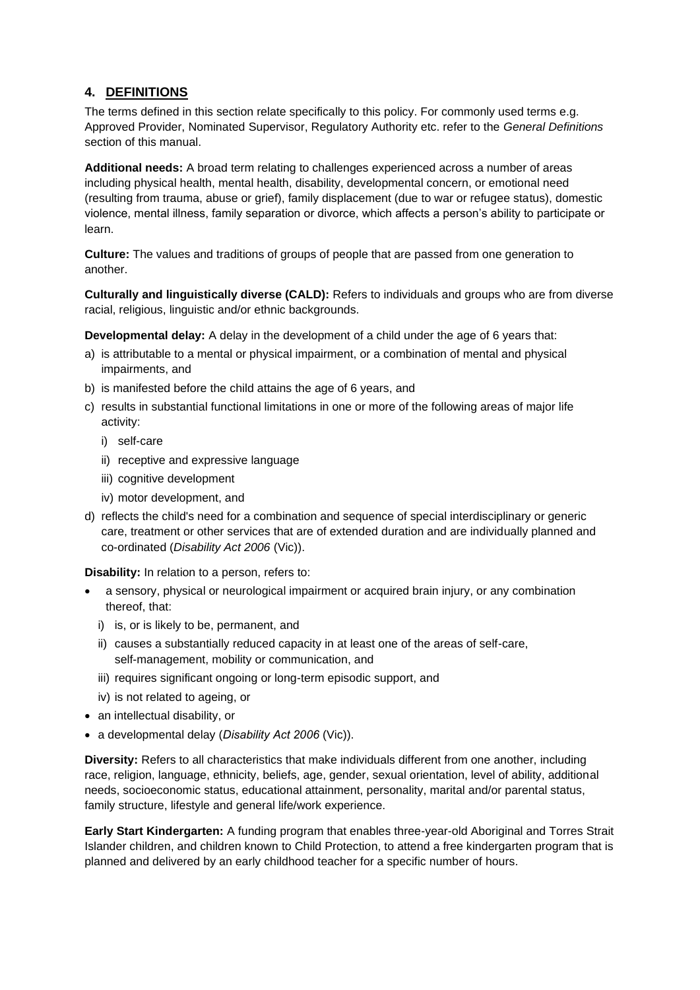### **4. DEFINITIONS**

The terms defined in this section relate specifically to this policy. For commonly used terms e.g. Approved Provider, Nominated Supervisor, Regulatory Authority etc. refer to the *General Definitions* section of this manual.

**Additional needs:** A broad term relating to challenges experienced across a number of areas including physical health, mental health, disability, developmental concern, or emotional need (resulting from trauma, abuse or grief), family displacement (due to war or refugee status), domestic violence, mental illness, family separation or divorce, which affects a person's ability to participate or learn.

**Culture:** The values and traditions of groups of people that are passed from one generation to another.

**Culturally and linguistically diverse (CALD):** Refers to individuals and groups who are from diverse racial, religious, linguistic and/or ethnic backgrounds.

**Developmental delay:** A delay in the development of a child under the age of 6 years that:

- a) is attributable to a mental or physical impairment, or a combination of mental and physical impairments, and
- b) is manifested before the child attains the age of 6 years, and
- c) results in substantial functional limitations in one or more of the following areas of major life activity:
	- i) self-care
	- ii) receptive and expressive language
	- iii) cognitive development
	- iv) motor development, and
- d) reflects the child's need for a combination and sequence of special interdisciplinary or generic care, treatment or other services that are of extended duration and are individually planned and co-ordinated (*Disability Act 2006* (Vic)).

**Disability:** In relation to a person, refers to:

- a sensory, physical or neurological impairment or acquired brain injury, or any combination thereof, that:
	- i) is, or is likely to be, permanent, and
	- ii) causes a substantially reduced capacity in at least one of the areas of self-care, self-management, mobility or communication, and
	- iii) requires significant ongoing or long-term episodic support, and
	- iv) is not related to ageing, or
- an intellectual disability, or
- a developmental delay (*Disability Act 2006* (Vic)).

**Diversity:** Refers to all characteristics that make individuals different from one another, including race, religion, language, ethnicity, beliefs, age, gender, sexual orientation, level of ability, additional needs, socioeconomic status, educational attainment, personality, marital and/or parental status, family structure, lifestyle and general life/work experience.

**Early Start Kindergarten:** A funding program that enables three-year-old Aboriginal and Torres Strait Islander children, and children known to Child Protection, to attend a free kindergarten program that is planned and delivered by an early childhood teacher for a specific number of hours.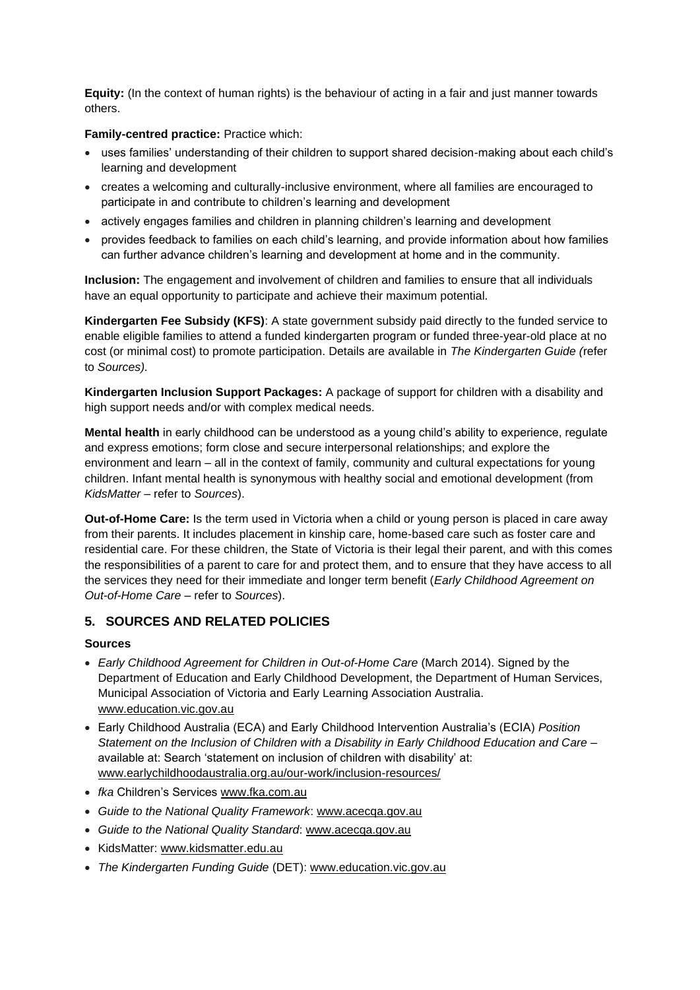**Equity:** (In the context of human rights) is the behaviour of acting in a fair and just manner towards others.

#### **Family-centred practice:** Practice which:

- uses families' understanding of their children to support shared decision-making about each child's learning and development
- creates a welcoming and culturally-inclusive environment, where all families are encouraged to participate in and contribute to children's learning and development
- actively engages families and children in planning children's learning and development
- provides feedback to families on each child's learning, and provide information about how families can further advance children's learning and development at home and in the community.

**Inclusion:** The engagement and involvement of children and families to ensure that all individuals have an equal opportunity to participate and achieve their maximum potential.

**Kindergarten Fee Subsidy (KFS)**: A state government subsidy paid directly to the funded service to enable eligible families to attend a funded kindergarten program or funded three-year-old place at no cost (or minimal cost) to promote participation. Details are available in *The Kindergarten Guide (*refer to *Sources).*

**Kindergarten Inclusion Support Packages:** A package of support for children with a disability and high support needs and/or with complex medical needs.

**Mental health** in early childhood can be understood as a young child's ability to experience, regulate and express emotions; form close and secure interpersonal relationships; and explore the environment and learn – all in the context of family, community and cultural expectations for young children. Infant mental health is synonymous with healthy social and emotional development (from *KidsMatter –* refer to *Sources*).

**Out-of-Home Care:** Is the term used in Victoria when a child or young person is placed in care away from their parents. It includes placement in kinship care, home-based care such as foster care and residential care. For these children, the State of Victoria is their legal their parent, and with this comes the responsibilities of a parent to care for and protect them, and to ensure that they have access to all the services they need for their immediate and longer term benefit (*Early Childhood Agreement on Out-of-Home Care* – refer to *Sources*).

## **5. SOURCES AND RELATED POLICIES**

#### **Sources**

- *Early Childhood Agreement for Children in Out-of-Home Care* (March 2014). Signed by the Department of Education and Early Childhood Development, the Department of Human Services, Municipal Association of Victoria and Early Learning Association Australia. [www.education.vic.gov.au](http://www.education.vic.gov.au/)
- Early Childhood Australia (ECA) and Early Childhood Intervention Australia's (ECIA) *Position Statement on the Inclusion of Children with a Disability in Early Childhood Education and Care –* available at: Search 'statement on inclusion of children with disability' at: [www.earlychildhoodaustralia.org.au/our-work/inclusion-resources/](http://www.earlychildhoodaustralia.org.au/our-work/inclusion-resources/)
- *fka* Children's Services [www.fka.com.au](http://www.fka.com.au/)
- *Guide to the National Quality Framework*: [www.acecqa.gov.au](https://www.acecqa.gov.au/)
- *Guide to the National Quality Standard*: [www.acecqa.gov.au](https://www.acecqa.gov.au/)
- KidsMatter: [www.kidsmatter.edu.au](https://www.kidsmatter.edu.au/)
- *The Kindergarten Funding Guide* (DET): [www.education.vic.gov.au](http://www.education.vic.gov.au/Pages/default.aspx)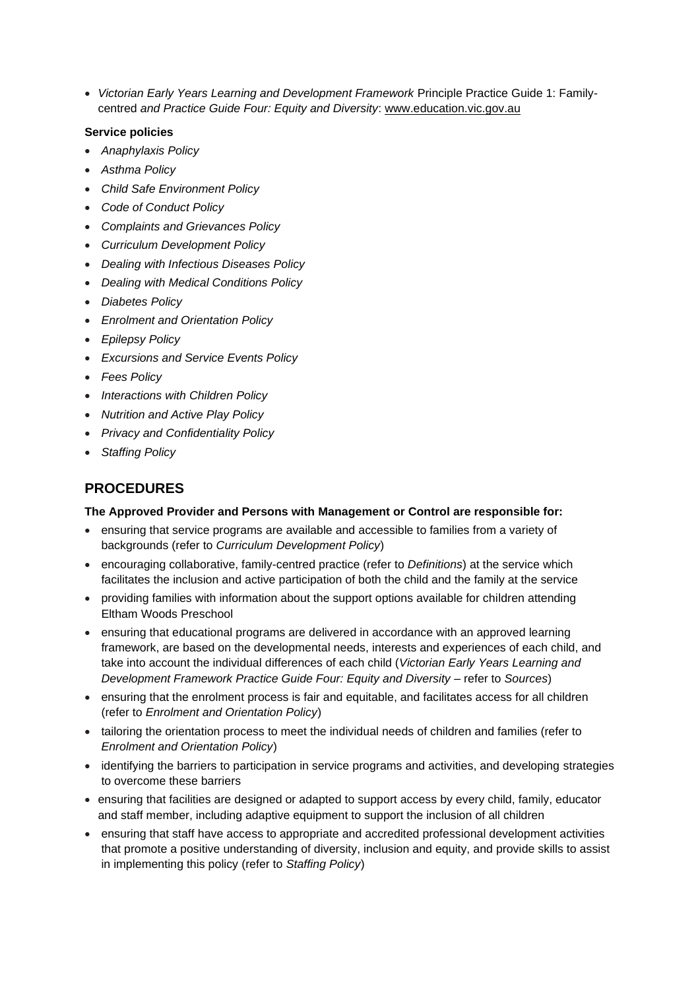• *Victorian Early Years Learning and Development Framework* Principle Practice Guide 1: Familycentred *and Practice Guide Four: Equity and Diversity*: [www.education.vic.gov.au](http://www.education.vic.gov.au/Pages/default.aspx)

#### **Service policies**

- *Anaphylaxis Policy*
- *Asthma Policy*
- *Child Safe Environment Policy*
- *Code of Conduct Policy*
- *Complaints and Grievances Policy*
- *Curriculum Development Policy*
- *Dealing with Infectious Diseases Policy*
- *Dealing with Medical Conditions Policy*
- *Diabetes Policy*
- *Enrolment and Orientation Policy*
- *Epilepsy Policy*
- *Excursions and Service Events Policy*
- *Fees Policy*
- *Interactions with Children Policy*
- *Nutrition and Active Play Policy*
- *Privacy and Confidentiality Policy*
- *Staffing Policy*

# **PROCEDURES**

#### **The Approved Provider and Persons with Management or Control are responsible for:**

- ensuring that service programs are available and accessible to families from a variety of backgrounds (refer to *Curriculum Development Policy*)
- encouraging collaborative, family-centred practice (refer to *Definitions*) at the service which facilitates the inclusion and active participation of both the child and the family at the service
- providing families with information about the support options available for children attending Eltham Woods Preschool
- ensuring that educational programs are delivered in accordance with an approved learning framework, are based on the developmental needs, interests and experiences of each child, and take into account the individual differences of each child (*Victorian Early Years Learning and Development Framework Practice Guide Four: Equity and Diversity* – refer to *Sources*)
- ensuring that the enrolment process is fair and equitable, and facilitates access for all children (refer to *Enrolment and Orientation Policy*)
- tailoring the orientation process to meet the individual needs of children and families (refer to *Enrolment and Orientation Policy*)
- identifying the barriers to participation in service programs and activities, and developing strategies to overcome these barriers
- ensuring that facilities are designed or adapted to support access by every child, family, educator and staff member, including adaptive equipment to support the inclusion of all children
- ensuring that staff have access to appropriate and accredited professional development activities that promote a positive understanding of diversity, inclusion and equity, and provide skills to assist in implementing this policy (refer to *Staffing Policy*)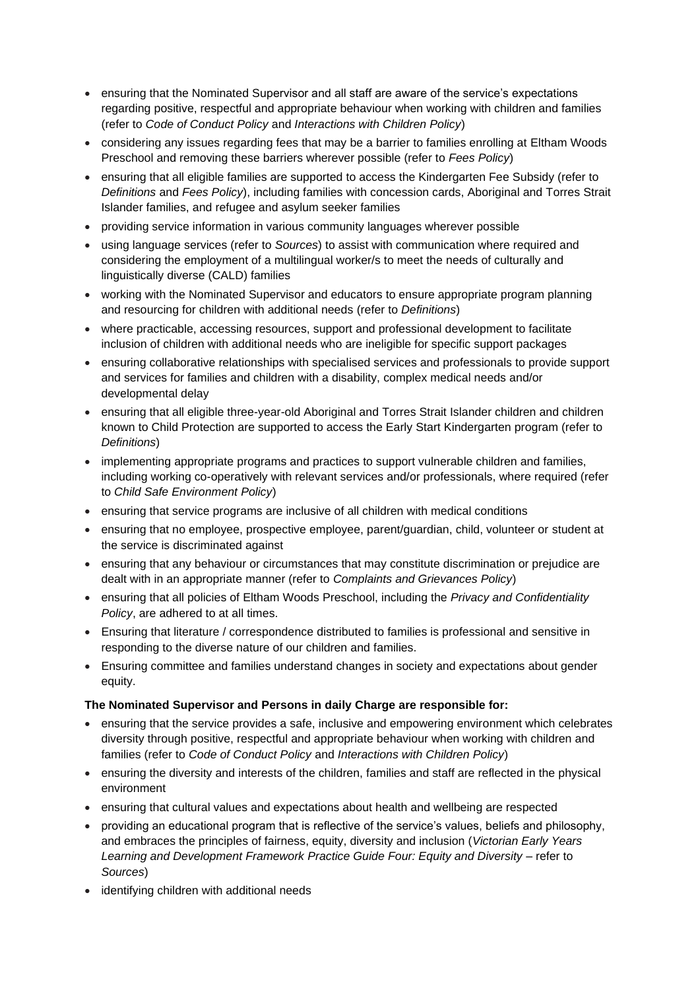- ensuring that the Nominated Supervisor and all staff are aware of the service's expectations regarding positive, respectful and appropriate behaviour when working with children and families (refer to *Code of Conduct Policy* and *Interactions with Children Policy*)
- considering any issues regarding fees that may be a barrier to families enrolling at Eltham Woods Preschool and removing these barriers wherever possible (refer to *Fees Policy*)
- ensuring that all eligible families are supported to access the Kindergarten Fee Subsidy (refer to *Definitions* and *Fees Policy*), including families with concession cards, Aboriginal and Torres Strait Islander families, and refugee and asylum seeker families
- providing service information in various community languages wherever possible
- using language services (refer to *Sources*) to assist with communication where required and considering the employment of a multilingual worker/s to meet the needs of culturally and linguistically diverse (CALD) families
- working with the Nominated Supervisor and educators to ensure appropriate program planning and resourcing for children with additional needs (refer to *Definitions*)
- where practicable, accessing resources, support and professional development to facilitate inclusion of children with additional needs who are ineligible for specific support packages
- ensuring collaborative relationships with specialised services and professionals to provide support and services for families and children with a disability, complex medical needs and/or developmental delay
- ensuring that all eligible three-year-old Aboriginal and Torres Strait Islander children and children known to Child Protection are supported to access the Early Start Kindergarten program (refer to *Definitions*)
- implementing appropriate programs and practices to support vulnerable children and families, including working co-operatively with relevant services and/or professionals, where required (refer to *Child Safe Environment Policy*)
- ensuring that service programs are inclusive of all children with medical conditions
- ensuring that no employee, prospective employee, parent/guardian, child, volunteer or student at the service is discriminated against
- ensuring that any behaviour or circumstances that may constitute discrimination or prejudice are dealt with in an appropriate manner (refer to *Complaints and Grievances Policy*)
- ensuring that all policies of Eltham Woods Preschool, including the *Privacy and Confidentiality Policy*, are adhered to at all times.
- Ensuring that literature / correspondence distributed to families is professional and sensitive in responding to the diverse nature of our children and families.
- Ensuring committee and families understand changes in society and expectations about gender equity.

### **The Nominated Supervisor and Persons in daily Charge are responsible for:**

- ensuring that the service provides a safe, inclusive and empowering environment which celebrates diversity through positive, respectful and appropriate behaviour when working with children and families (refer to *Code of Conduct Policy* and *Interactions with Children Policy*)
- ensuring the diversity and interests of the children, families and staff are reflected in the physical environment
- ensuring that cultural values and expectations about health and wellbeing are respected
- providing an educational program that is reflective of the service's values, beliefs and philosophy, and embraces the principles of fairness, equity, diversity and inclusion (*Victorian Early Years Learning and Development Framework Practice Guide Four: Equity and Diversity* – refer to *Sources*)
- identifying children with additional needs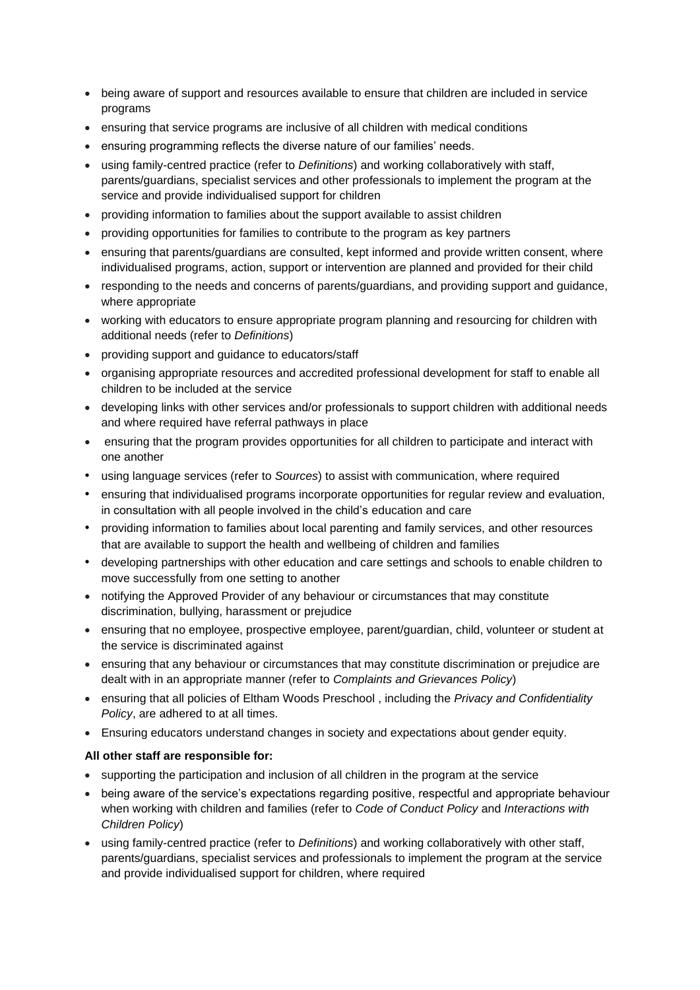- being aware of support and resources available to ensure that children are included in service programs
- ensuring that service programs are inclusive of all children with medical conditions
- ensuring programming reflects the diverse nature of our families' needs.
- using family-centred practice (refer to *Definitions*) and working collaboratively with staff, parents/guardians, specialist services and other professionals to implement the program at the service and provide individualised support for children
- providing information to families about the support available to assist children
- providing opportunities for families to contribute to the program as key partners
- ensuring that parents/guardians are consulted, kept informed and provide written consent, where individualised programs, action, support or intervention are planned and provided for their child
- responding to the needs and concerns of parents/guardians, and providing support and guidance, where appropriate
- working with educators to ensure appropriate program planning and resourcing for children with additional needs (refer to *Definitions*)
- providing support and guidance to educators/staff
- organising appropriate resources and accredited professional development for staff to enable all children to be included at the service
- developing links with other services and/or professionals to support children with additional needs and where required have referral pathways in place
- ensuring that the program provides opportunities for all children to participate and interact with one another
- using language services (refer to *Sources*) to assist with communication, where required
- ensuring that individualised programs incorporate opportunities for regular review and evaluation, in consultation with all people involved in the child's education and care
- providing information to families about local parenting and family services, and other resources that are available to support the health and wellbeing of children and families
- developing partnerships with other education and care settings and schools to enable children to move successfully from one setting to another
- notifying the Approved Provider of any behaviour or circumstances that may constitute discrimination, bullying, harassment or prejudice
- ensuring that no employee, prospective employee, parent/guardian, child, volunteer or student at the service is discriminated against
- ensuring that any behaviour or circumstances that may constitute discrimination or prejudice are dealt with in an appropriate manner (refer to *Complaints and Grievances Policy*)
- ensuring that all policies of Eltham Woods Preschool , including the *Privacy and Confidentiality Policy*, are adhered to at all times.
- Ensuring educators understand changes in society and expectations about gender equity.

#### **All other staff are responsible for:**

- supporting the participation and inclusion of all children in the program at the service
- being aware of the service's expectations regarding positive, respectful and appropriate behaviour when working with children and families (refer to *Code of Conduct Policy* and *Interactions with Children Policy*)
- using family-centred practice (refer to *Definitions*) and working collaboratively with other staff, parents/guardians, specialist services and professionals to implement the program at the service and provide individualised support for children, where required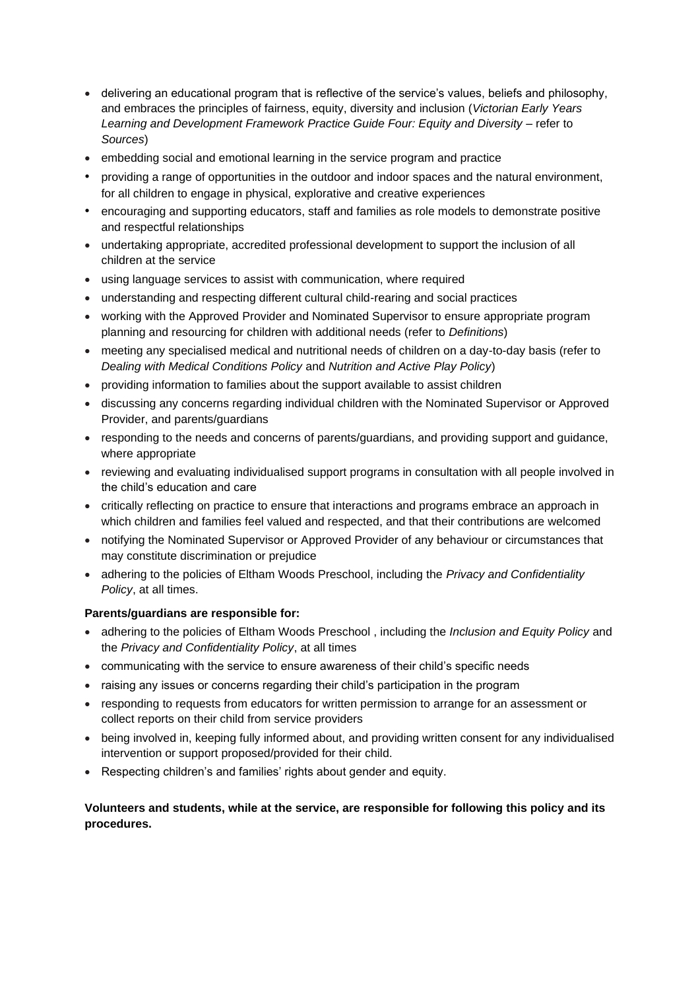- delivering an educational program that is reflective of the service's values, beliefs and philosophy, and embraces the principles of fairness, equity, diversity and inclusion (*Victorian Early Years Learning and Development Framework Practice Guide Four: Equity and Diversity* – refer to *Sources*)
- embedding social and emotional learning in the service program and practice
- providing a range of opportunities in the outdoor and indoor spaces and the natural environment, for all children to engage in physical, explorative and creative experiences
- encouraging and supporting educators, staff and families as role models to demonstrate positive and respectful relationships
- undertaking appropriate, accredited professional development to support the inclusion of all children at the service
- using language services to assist with communication, where required
- understanding and respecting different cultural child-rearing and social practices
- working with the Approved Provider and Nominated Supervisor to ensure appropriate program planning and resourcing for children with additional needs (refer to *Definitions*)
- meeting any specialised medical and nutritional needs of children on a day-to-day basis (refer to *Dealing with Medical Conditions Policy* and *Nutrition and Active Play Policy*)
- providing information to families about the support available to assist children
- discussing any concerns regarding individual children with the Nominated Supervisor or Approved Provider, and parents/guardians
- responding to the needs and concerns of parents/guardians, and providing support and guidance, where appropriate
- reviewing and evaluating individualised support programs in consultation with all people involved in the child's education and care
- critically reflecting on practice to ensure that interactions and programs embrace an approach in which children and families feel valued and respected, and that their contributions are welcomed
- notifying the Nominated Supervisor or Approved Provider of any behaviour or circumstances that may constitute discrimination or prejudice
- adhering to the policies of Eltham Woods Preschool, including the *Privacy and Confidentiality Policy*, at all times.

#### **Parents/guardians are responsible for:**

- adhering to the policies of Eltham Woods Preschool , including the *Inclusion and Equity Policy* and the *Privacy and Confidentiality Policy*, at all times
- communicating with the service to ensure awareness of their child's specific needs
- raising any issues or concerns regarding their child's participation in the program
- responding to requests from educators for written permission to arrange for an assessment or collect reports on their child from service providers
- being involved in, keeping fully informed about, and providing written consent for any individualised intervention or support proposed/provided for their child.
- Respecting children's and families' rights about gender and equity.

### **Volunteers and students, while at the service, are responsible for following this policy and its procedures.**